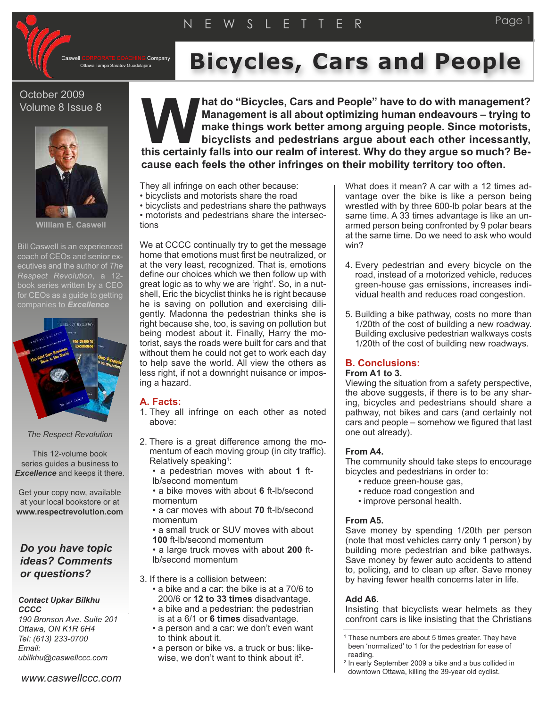Company

## October 2009 Volume 8 Issue 8



**William E. Caswell**

Bill Caswell is an experienced coach of CEOs and senior executives and the author of *The Respect Revolution*, a 12 book series written by a CEO for CEOs as a quide to getting companies to *Excellence*



*The Respect Revolution*

This 12-volume book series guides a business to *Excellence* and keeps it there.

Get your copy now, available at your local bookstore or at **www.respectrevolution.com**

# *Do you have topic ideas? Comments or questions?*

#### *Contact Upkar Bilkhu CCCC*

*190 Bronson Ave. Suite 201 Ottawa, ON K1R 6H4 Tel: (613) 233-0700 Email: ubilkhu@caswellccc.com*

*www.caswellccc.com*

**CORPORATE COACHING Company Bicycles, Cars** and **People** 

**hat do "Bicycles, Cars and People" have to do with management? Management is all about optimizing human endeavours – trying to make things work better among arguing people. Since motorists, bicyclists and pedestrians argue about each other incessantly, that do "Bicycles, Cars and People" have to do with management?<br>
<b>Management is all about optimizing human endeavours – trying to<br>
make things work better among arguing people. Since motorists,<br>
bicyclists and pedestrians cause each feels the other infringes on their mobility territory too often.**

They all infringe on each other because:

- bicyclists and motorists share the road
- bicyclists and pedestrians share the pathways

• motorists and pedestrians share the intersections

We at CCCC continually try to get the message home that emotions must first be neutralized, or at the very least, recognized. That is, emotions define our choices which we then follow up with great logic as to why we are 'right'. So, in a nutshell, Eric the bicyclist thinks he is right because he is saving on pollution and exercising diligently. Madonna the pedestrian thinks she is right because she, too, is saving on pollution but being modest about it. Finally, Harry the motorist, says the roads were built for cars and that without them he could not get to work each day to help save the world. All view the others as less right, if not a downright nuisance or imposing a hazard.

#### **A. Facts:**

- 1. They all infringe on each other as noted above:
- 2. There is a great difference among the momentum of each moving group (in city traffic). Relatively speaking<sup>1</sup>:
	- a pedestrian moves with about **1** ftlb/second momentum
	- a bike moves with about **6** ft-lb/second momentum
	- a car moves with about **70** ft-lb/second momentum
	- a small truck or SUV moves with about **100** ft-lb/second momentum
	- a large truck moves with about **200** ftlb/second momentum
- 3. If there is a collision between: • a bike and a car: the bike is at a 70/6 to 200/6 or **12 to 33 times** disadvantage.
	- a bike and a pedestrian: the pedestrian is at a 6/1 or **6 times** disadvantage.
	- a person and a car: we don't even want to think about it.
	- a person or bike vs. a truck or bus: likewise, we don't want to think about it<sup>2</sup>.

What does it mean? A car with a 12 times advantage over the bike is like a person being wrestled with by three 600-lb polar bears at the same time. A 33 times advantage is like an unarmed person being confronted by 9 polar bears at the same time. Do we need to ask who would win?

- 4. Every pedestrian and every bicycle on the road, instead of a motorized vehicle, reduces green-house gas emissions, increases individual health and reduces road congestion.
- 5. Building a bike pathway, costs no more than 1/20th of the cost of building a new roadway. Building exclusive pedestrian walkways costs 1/20th of the cost of building new roadways.

# **B. Conclusions:**

**From A1 to 3.**

Viewing the situation from a safety perspective, the above suggests, if there is to be any sharing, bicycles and pedestrians should share a pathway, not bikes and cars (and certainly not cars and people – somehow we figured that last one out already).

## **From A4.**

The community should take steps to encourage bicycles and pedestrians in order to:

- reduce green-house gas,
- reduce road congestion and
- improve personal health.

#### **From A5.**

Save money by spending 1/20th per person (note that most vehicles carry only 1 person) by building more pedestrian and bike pathways. Save money by fewer auto accidents to attend to, policing, and to clean up after. Save money by having fewer health concerns later in life.

## **Add A6.**

Insisting that bicyclists wear helmets as they confront cars is like insisting that the Christians

<sup>2</sup> In early September 2009 a bike and a bus collided in downtown Ottawa, killing the 39-year old cyclist.

<sup>&</sup>lt;sup>1</sup> These numbers are about 5 times greater. They have been 'normalized' to 1 for the pedestrian for ease of reading.